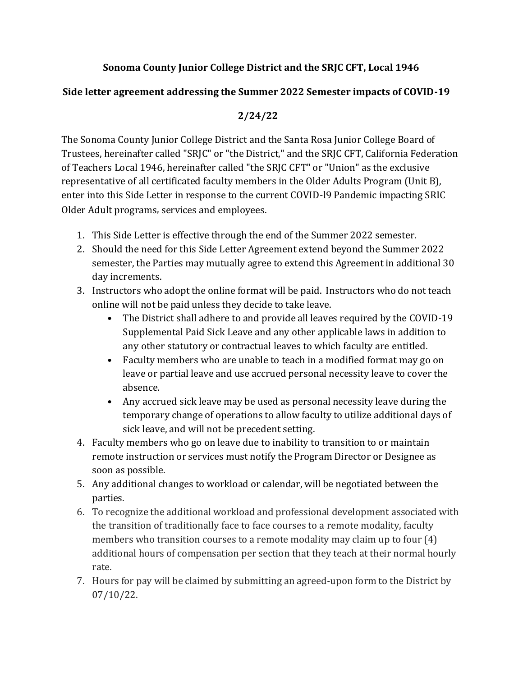## **Sonoma County Junior College District and the SRJC CFT, Local 1946**

## **Side letter agreement addressing the Summer 2022 Semester impacts of COVID-19**

## **2/24/22**

The Sonoma County Junior College District and the Santa Rosa Junior College Board of Trustees, hereinafter called "SRJC" or "the District," and the SRJC CFT, California Federation of Teachers Local 1946, hereinafter called "the SRJC CFT" or "Union" as the exclusive representative of all certificated faculty members in the Older Adults Program (Unit B), enter into this Side Letter in response to the current COVID-l9 Pandemic impacting SRIC Older Adult programs, services and employees.

- 1. This Side Letter is effective through the end of the Summer 2022 semester.
- 2. Should the need for this Side Letter Agreement extend beyond the Summer 2022 semester, the Parties may mutually agree to extend this Agreement in additional 30 day increments.
- 3. Instructors who adopt the online format will be paid. Instructors who do not teach online will not be paid unless they decide to take leave.
	- The District shall adhere to and provide all leaves required by the COVID-19 Supplemental Paid Sick Leave and any other applicable laws in addition to any other statutory or contractual leaves to which faculty are entitled.
	- Faculty members who are unable to teach in a modified format may go on leave or partial leave and use accrued personal necessity leave to cover the absence.
	- Any accrued sick leave may be used as personal necessity leave during the temporary change of operations to allow faculty to utilize additional days of sick leave, and will not be precedent setting.
- 4. Faculty members who go on leave due to inability to transition to or maintain remote instruction or services must notify the Program Director or Designee as soon as possible.
- 5. Any additional changes to workload or calendar, will be negotiated between the parties.
- 6. To recognize the additional workload and professional development associated with the transition of traditionally face to face courses to a remote modality, faculty members who transition courses to a remote modality may claim up to four (4) additional hours of compensation per section that they teach at their normal hourly rate.
- 7. Hours for pay will be claimed by submitting an agreed-upon form to the District by 07/10/22.